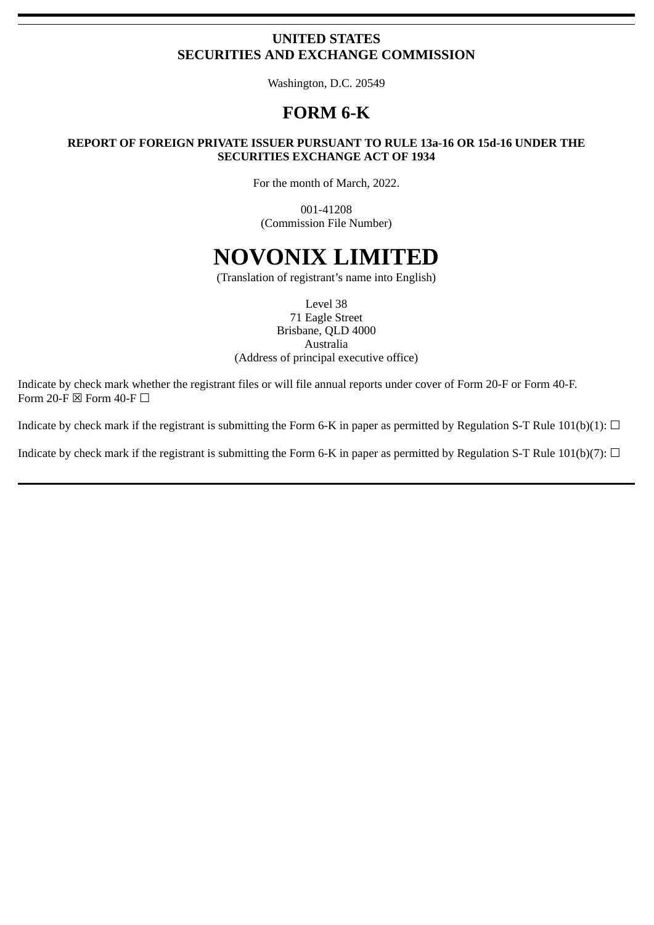# **UNITED STATES SECURITIES AND EXCHANGE COMMISSION**

Washington, D.C. 20549

# **FORM 6-K**

#### **REPORT OF FOREIGN PRIVATE ISSUER PURSUANT TO RULE 13a-16 OR 15d-16 UNDER THE SECURITIES EXCHANGE ACT OF 1934**

For the month of March, 2022.

001-41208 (Commission File Number)

# **NOVONIX LIMITED**

(Translation of registrant's name into English)

Level 38 71 Eagle Street Brisbane, QLD 4000 Australia (Address of principal executive office)

Indicate by check mark whether the registrant files or will file annual reports under cover of Form 20‑F or Form 40‑F. Form 20-F  $\boxtimes$  Form 40-F  $\Box$ 

Indicate by check mark if the registrant is submitting the Form 6-K in paper as permitted by Regulation S-T Rule 101(b)(1):  $\Box$ 

Indicate by check mark if the registrant is submitting the Form 6-K in paper as permitted by Regulation S-T Rule 101(b)(7):  $\Box$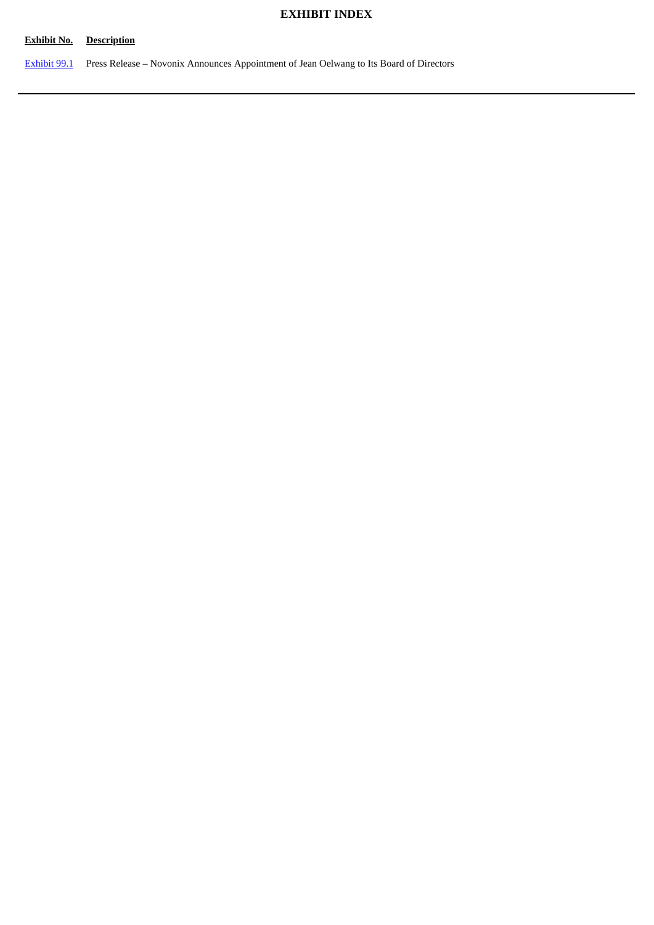# **EXHIBIT INDEX**

### **Exhibit No. Description**

[Exhibit](#page-3-0) 99.1 Press Release – Novonix Announces Appointment of Jean Oelwang to Its Board of Directors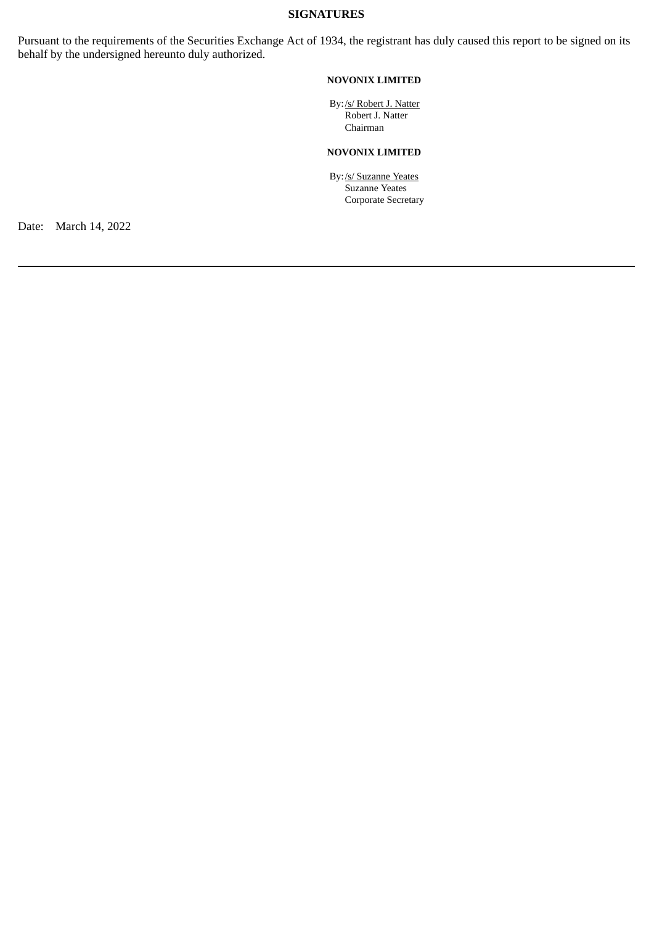#### **SIGNATURES**

Pursuant to the requirements of the Securities Exchange Act of 1934, the registrant has duly caused this report to be signed on its behalf by the undersigned hereunto duly authorized.

#### **NOVONIX LIMITED**

By:/s/ Robert J. Natter Robert J. Natter Chairman

## **NOVONIX LIMITED**

By:/s/ Suzanne Yeates Suzanne Yeates Corporate Secretary

Date: March 14, 2022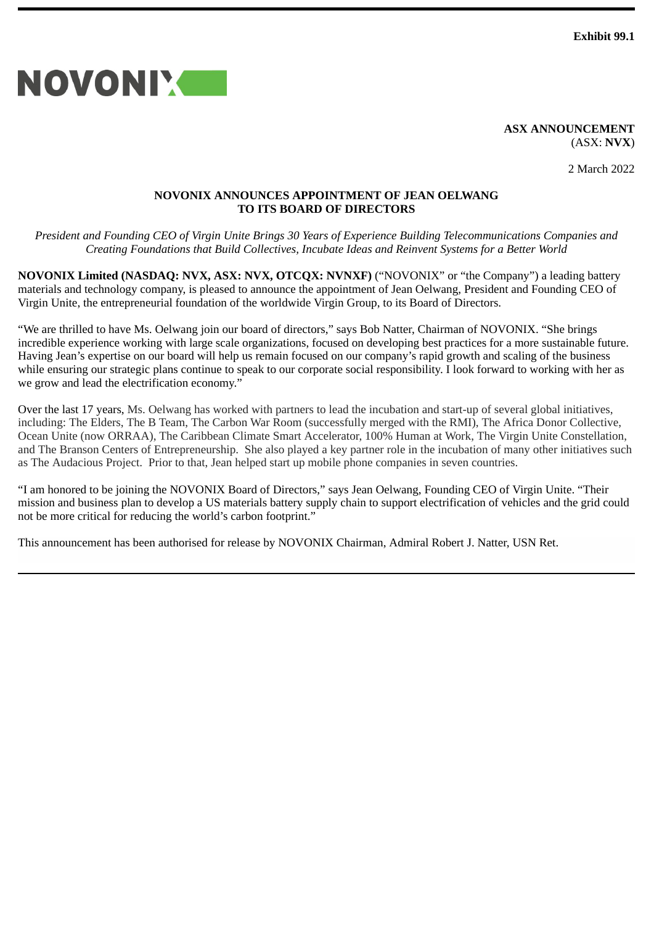**Exhibit 99.1**

<span id="page-3-0"></span>

**ASX ANNOUNCEMENT** (ASX: **NVX**)

2 March 2022

#### **NOVONIX ANNOUNCES APPOINTMENT OF JEAN OELWANG TO ITS BOARD OF DIRECTORS**

*President and Founding CEO of Virgin Unite Brings 30 Years of Experience Building Telecommunications Companies and Creating Foundations that Build Collectives, Incubate Ideas and Reinvent Systems for a Better World*

**NOVONIX Limited (NASDAQ: NVX, ASX: NVX, OTCQX: NVNXF)** ("NOVONIX" or "the Company") a leading battery materials and technology company, is pleased to announce the appointment of Jean Oelwang, President and Founding CEO of Virgin Unite, the entrepreneurial foundation of the worldwide Virgin Group, to its Board of Directors.

"We are thrilled to have Ms. Oelwang join our board of directors," says Bob Natter, Chairman of NOVONIX. "She brings incredible experience working with large scale organizations, focused on developing best practices for a more sustainable future. Having Jean's expertise on our board will help us remain focused on our company's rapid growth and scaling of the business while ensuring our strategic plans continue to speak to our corporate social responsibility. I look forward to working with her as we grow and lead the electrification economy."

Over the last 17 years, Ms. Oelwang has worked with partners to lead the incubation and start-up of several global initiatives, including: The Elders, The B Team, The Carbon War Room (successfully merged with the RMI), The Africa Donor Collective, Ocean Unite (now ORRAA), The Caribbean Climate Smart Accelerator, 100% Human at Work, The Virgin Unite Constellation, and The Branson Centers of Entrepreneurship. She also played a key partner role in the incubation of many other initiatives such as The Audacious Project. Prior to that, Jean helped start up mobile phone companies in seven countries.

"I am honored to be joining the NOVONIX Board of Directors," says Jean Oelwang, Founding CEO of Virgin Unite. "Their mission and business plan to develop a US materials battery supply chain to support electrification of vehicles and the grid could not be more critical for reducing the world's carbon footprint."

This announcement has been authorised for release by NOVONIX Chairman, Admiral Robert J. Natter, USN Ret.